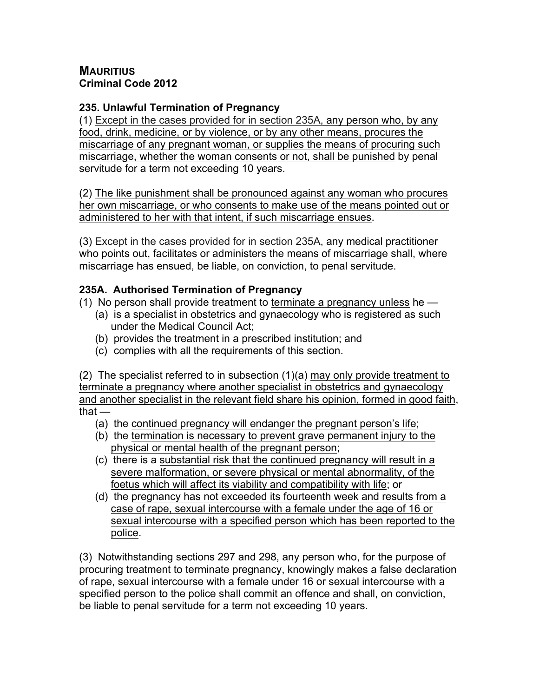## **MAURITIUS Criminal Code 2012**

# **235. Unlawful Termination of Pregnancy**

(1) Except in the cases provided for in section 235A, any person who, by any food, drink, medicine, or by violence, or by any other means, procures the miscarriage of any pregnant woman, or supplies the means of procuring such miscarriage, whether the woman consents or not, shall be punished by penal servitude for a term not exceeding 10 years.

(2) The like punishment shall be pronounced against any woman who procures her own miscarriage, or who consents to make use of the means pointed out or administered to her with that intent, if such miscarriage ensues.

(3) Except in the cases provided for in section 235A, any medical practitioner who points out, facilitates or administers the means of miscarriage shall, where miscarriage has ensued, be liable, on conviction, to penal servitude.

## **235A. Authorised Termination of Pregnancy**

(1) No person shall provide treatment to terminate a pregnancy unless he  $-$ 

- (a) is a specialist in obstetrics and gynaecology who is registered as such under the Medical Council Act;
- (b) provides the treatment in a prescribed institution; and
- (c) complies with all the requirements of this section.

(2) The specialist referred to in subsection (1)(a) may only provide treatment to terminate a pregnancy where another specialist in obstetrics and gynaecology and another specialist in the relevant field share his opinion, formed in good faith, that —

- (a) the continued pregnancy will endanger the pregnant person's life;
- (b) the termination is necessary to prevent grave permanent injury to the physical or mental health of the pregnant person;
- (c) there is a substantial risk that the continued pregnancy will result in a severe malformation, or severe physical or mental abnormality, of the foetus which will affect its viability and compatibility with life; or
- (d) the pregnancy has not exceeded its fourteenth week and results from a case of rape, sexual intercourse with a female under the age of 16 or sexual intercourse with a specified person which has been reported to the police.

(3) Notwithstanding sections 297 and 298, any person who, for the purpose of procuring treatment to terminate pregnancy, knowingly makes a false declaration of rape, sexual intercourse with a female under 16 or sexual intercourse with a specified person to the police shall commit an offence and shall, on conviction, be liable to penal servitude for a term not exceeding 10 years.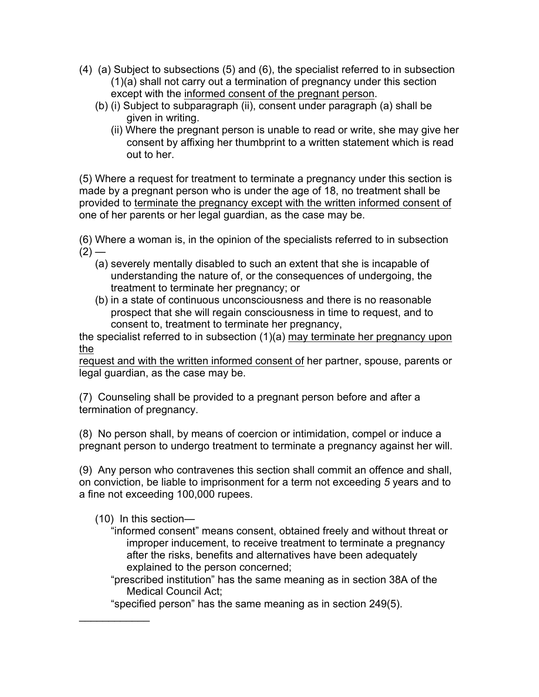- (4) (a) Subject to subsections (5) and (6), the specialist referred to in subsection (1)(a) shall not carry out a termination of pregnancy under this section except with the informed consent of the pregnant person.
	- (b) (i) Subject to subparagraph (ii), consent under paragraph (a) shall be given in writing.
		- (ii) Where the pregnant person is unable to read or write, she may give her consent by affixing her thumbprint to a written statement which is read out to her.

(5) Where a request for treatment to terminate a pregnancy under this section is made by a pregnant person who is under the age of 18, no treatment shall be provided to terminate the pregnancy except with the written informed consent of one of her parents or her legal guardian, as the case may be.

(6) Where a woman is, in the opinion of the specialists referred to in subsection  $(2)$  —

- (a) severely mentally disabled to such an extent that she is incapable of understanding the nature of, or the consequences of undergoing, the treatment to terminate her pregnancy; or
- (b) in a state of continuous unconsciousness and there is no reasonable prospect that she will regain consciousness in time to request, and to consent to, treatment to terminate her pregnancy,

the specialist referred to in subsection (1)(a) may terminate her pregnancy upon the

request and with the written informed consent of her partner, spouse, parents or legal guardian, as the case may be.

(7) Counseling shall be provided to a pregnant person before and after a termination of pregnancy.

(8) No person shall, by means of coercion or intimidation, compel or induce a pregnant person to undergo treatment to terminate a pregnancy against her will.

(9) Any person who contravenes this section shall commit an offence and shall, on conviction, be liable to imprisonment for a term not exceeding *5* years and to a fine not exceeding 100,000 rupees.

(10) In this section—

 $\frac{1}{2}$ 

- "informed consent" means consent, obtained freely and without threat or improper inducement, to receive treatment to terminate a pregnancy after the risks, benefits and alternatives have been adequately explained to the person concerned;
- "prescribed institution" has the same meaning as in section 38A of the Medical Council Act;

"specified person" has the same meaning as in section 249(5).